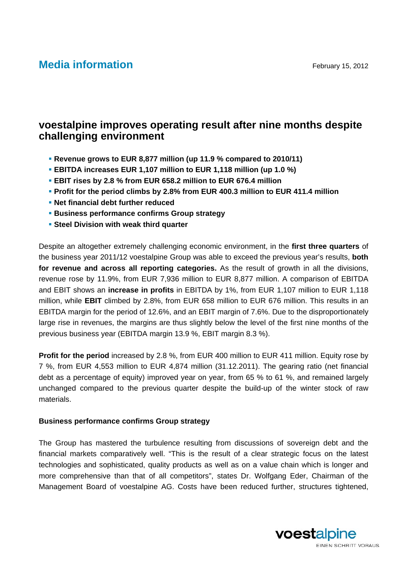# **Media information** February 15, 2012

## **voestalpine improves operating result after nine months despite challenging environment**

- **Revenue grows to EUR 8,877 million (up 11.9 % compared to 2010/11)**
- **EBITDA increases EUR 1,107 million to EUR 1,118 million (up 1.0 %)**
- **EBIT rises by 2.8 % from EUR 658.2 million to EUR 676.4 million**
- **Profit for the period climbs by 2.8% from EUR 400.3 million to EUR 411.4 million**
- **Net financial debt further reduced**
- **Business performance confirms Group strategy**
- **Example 3 Steel Division with weak third quarter**

Despite an altogether extremely challenging economic environment, in the **first three quarters** of the business year 2011/12 voestalpine Group was able to exceed the previous year's results, **both for revenue and across all reporting categories.** As the result of growth in all the divisions, revenue rose by 11.9%, from EUR 7,936 million to EUR 8,877 million. A comparison of EBITDA and EBIT shows an **increase in profits** in EBITDA by 1%, from EUR 1,107 million to EUR 1,118 million, while **EBIT** climbed by 2.8%, from EUR 658 million to EUR 676 million. This results in an EBITDA margin for the period of 12.6%, and an EBIT margin of 7.6%. Due to the disproportionately large rise in revenues, the margins are thus slightly below the level of the first nine months of the previous business year (EBITDA margin 13.9 %, EBIT margin 8.3 %).

**Profit for the period** increased by 2.8 %, from EUR 400 million to EUR 411 million. Equity rose by 7 %, from EUR 4,553 million to EUR 4,874 million (31.12.2011). The gearing ratio (net financial debt as a percentage of equity) improved year on year, from 65 % to 61 %, and remained largely unchanged compared to the previous quarter despite the build-up of the winter stock of raw materials.

#### **Business performance confirms Group strategy**

The Group has mastered the turbulence resulting from discussions of sovereign debt and the financial markets comparatively well. "This is the result of a clear strategic focus on the latest technologies and sophisticated, quality products as well as on a value chain which is longer and more comprehensive than that of all competitors", states Dr. Wolfgang Eder, Chairman of the Management Board of voestalpine AG. Costs have been reduced further, structures tightened,

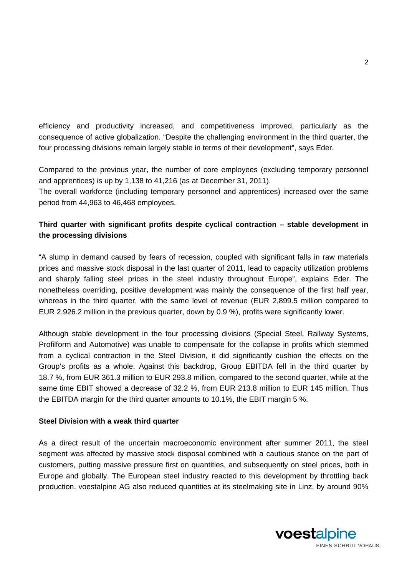efficiency and productivity increased, and competitiveness improved, particularly as the consequence of active globalization. "Despite the challenging environment in the third quarter, the four processing divisions remain largely stable in terms of their development", says Eder.

Compared to the previous year, the number of core employees (excluding temporary personnel and apprentices) is up by 1,138 to 41,216 (as at December 31, 2011). The overall workforce (including temporary personnel and apprentices) increased over the same period from 44,963 to 46,468 employees.

### **Third quarter with significant profits despite cyclical contraction – stable development in the processing divisions**

"A slump in demand caused by fears of recession, coupled with significant falls in raw materials prices and massive stock disposal in the last quarter of 2011, lead to capacity utilization problems and sharply falling steel prices in the steel industry throughout Europe", explains Eder. The nonetheless overriding, positive development was mainly the consequence of the first half year, whereas in the third quarter, with the same level of revenue (EUR 2,899.5 million compared to EUR 2,926.2 million in the previous quarter, down by 0.9 %), profits were significantly lower.

Although stable development in the four processing divisions (Special Steel, Railway Systems, Profilform and Automotive) was unable to compensate for the collapse in profits which stemmed from a cyclical contraction in the Steel Division, it did significantly cushion the effects on the Group's profits as a whole. Against this backdrop, Group EBITDA fell in the third quarter by 18.7 %, from EUR 361.3 million to EUR 293.8 million, compared to the second quarter, while at the same time EBIT showed a decrease of 32.2 %, from EUR 213.8 million to EUR 145 million. Thus the EBITDA margin for the third quarter amounts to 10.1%, the EBIT margin 5 %.

#### **Steel Division with a weak third quarter**

As a direct result of the uncertain macroeconomic environment after summer 2011, the steel segment was affected by massive stock disposal combined with a cautious stance on the part of customers, putting massive pressure first on quantities, and subsequently on steel prices, both in Europe and globally. The European steel industry reacted to this development by throttling back production. voestalpine AG also reduced quantities at its steelmaking site in Linz, by around 90%

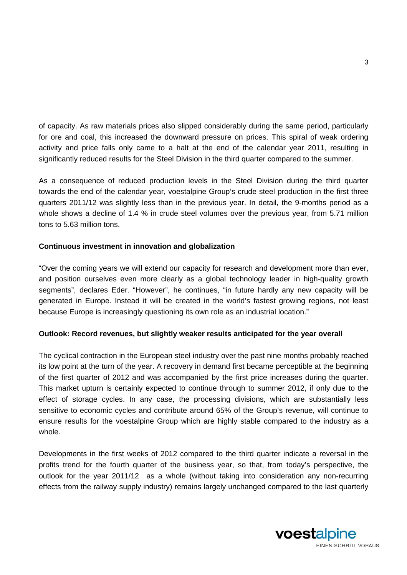of capacity. As raw materials prices also slipped considerably during the same period, particularly for ore and coal, this increased the downward pressure on prices. This spiral of weak ordering activity and price falls only came to a halt at the end of the calendar year 2011, resulting in significantly reduced results for the Steel Division in the third quarter compared to the summer.

As a consequence of reduced production levels in the Steel Division during the third quarter towards the end of the calendar year, voestalpine Group's crude steel production in the first three quarters 2011/12 was slightly less than in the previous year. In detail, the 9-months period as a whole shows a decline of 1.4 % in crude steel volumes over the previous year, from 5.71 million tons to 5.63 million tons.

### **Continuous investment in innovation and globalization**

"Over the coming years we will extend our capacity for research and development more than ever, and position ourselves even more clearly as a global technology leader in high-quality growth segments", declares Eder. "However", he continues, "in future hardly any new capacity will be generated in Europe. Instead it will be created in the world's fastest growing regions, not least because Europe is increasingly questioning its own role as an industrial location."

#### **Outlook: Record revenues, but slightly weaker results anticipated for the year overall**

The cyclical contraction in the European steel industry over the past nine months probably reached its low point at the turn of the year. A recovery in demand first became perceptible at the beginning of the first quarter of 2012 and was accompanied by the first price increases during the quarter. This market upturn is certainly expected to continue through to summer 2012, if only due to the effect of storage cycles. In any case, the processing divisions, which are substantially less sensitive to economic cycles and contribute around 65% of the Group's revenue, will continue to ensure results for the voestalpine Group which are highly stable compared to the industry as a whole.

Developments in the first weeks of 2012 compared to the third quarter indicate a reversal in the profits trend for the fourth quarter of the business year, so that, from today's perspective, the outlook for the year 2011/12 as a whole (without taking into consideration any non-recurring effects from the railway supply industry) remains largely unchanged compared to the last quarterly